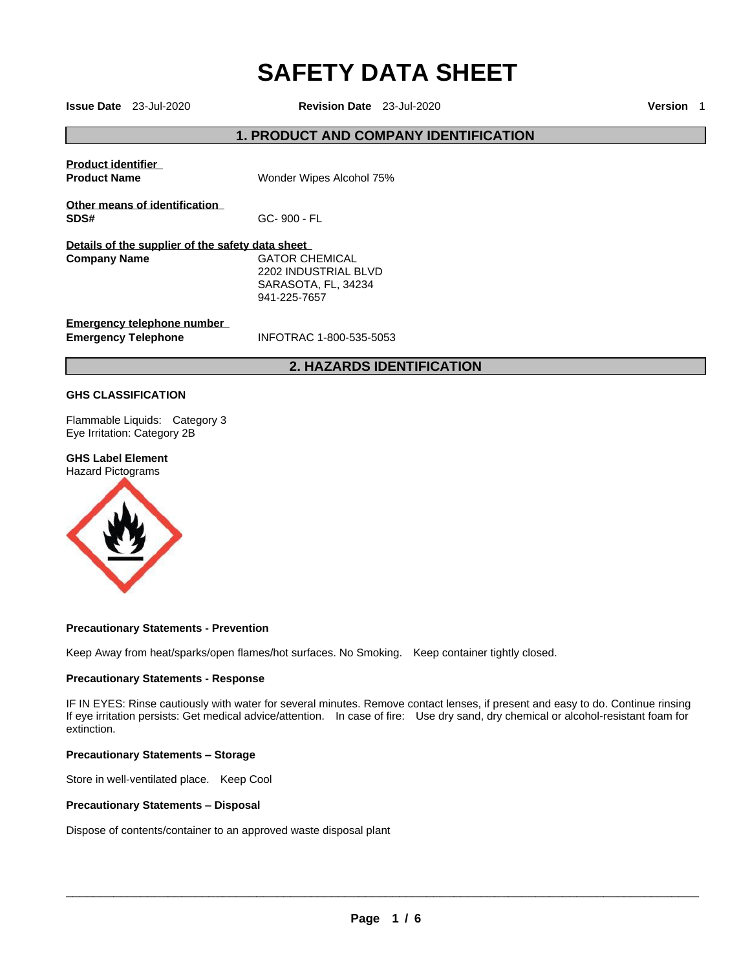# **SAFETY DATA SHEET**

**Issue Date** 23-Jul-2020 **Revision Date** 23-Jul-2020 **Version** 1

### **1. PRODUCT AND COMPANY IDENTIFICATION**

|                                                                         | <b>2. HAZARDS IDENTIFICATION</b>                                                     |
|-------------------------------------------------------------------------|--------------------------------------------------------------------------------------|
| Emergency telephone number<br><b>Emergency Telephone</b>                | INFOTRAC 1-800-535-5053                                                              |
| Details of the supplier of the safety data sheet<br><b>Company Name</b> | <b>GATOR CHEMICAL</b><br>2202 INDUSTRIAL BLVD<br>SARASOTA, FL, 34234<br>941-225-7657 |
| Other means of identification<br>SDS#                                   | GC-900 - FL                                                                          |
| <b>Product identifier</b><br><b>Product Name</b>                        | Wonder Wipes Alcohol 75%                                                             |
|                                                                         |                                                                                      |

### **GHS CLASSIFICATION**

Flammable Liquids: Category 3 Eye Irritation: Category 2B

#### **GHS Label Element**

Hazard Pictograms



#### **Precautionary Statements - Prevention**

Keep Away from heat/sparks/open flames/hot surfaces. No Smoking. Keep container tightly closed.

#### **Precautionary Statements - Response**

IF IN EYES: Rinse cautiously with water for several minutes. Remove contact lenses, if present and easy to do. Continue rinsing If eye irritation persists: Get medical advice/attention. In case of fire: Use dry sand, dry chemical or alcohol-resistant foam for extinction.

#### **Precautionary Statements – Storage**

Store in well-ventilated place. Keep Cool

#### **Precautionary Statements – Disposal**

Dispose of contents/container to an approved waste disposal plant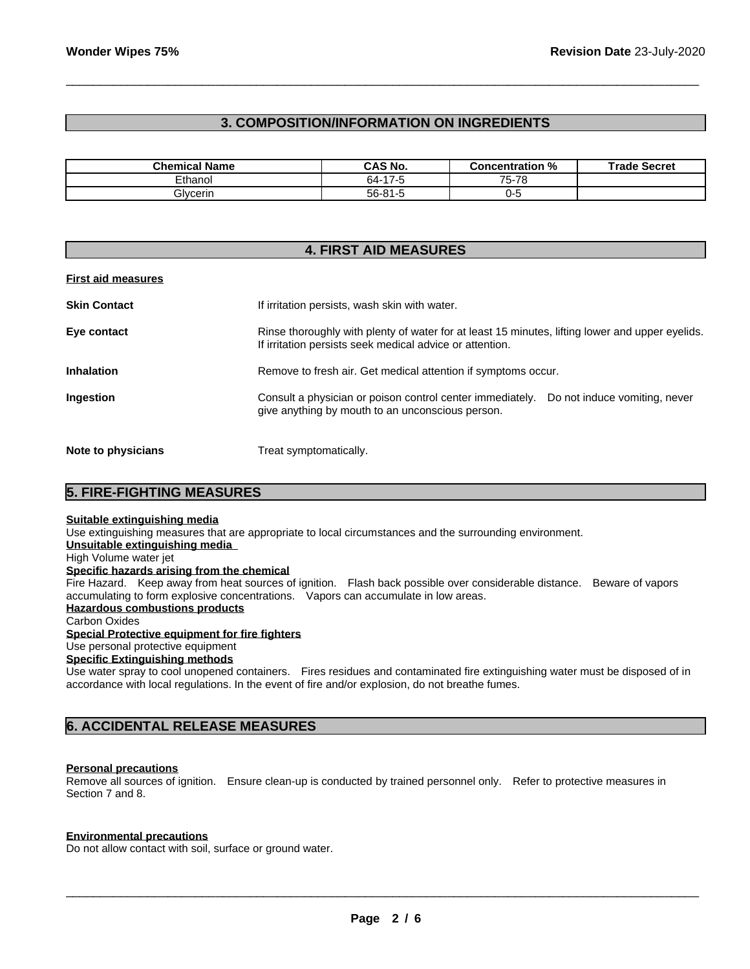## **3. COMPOSITION/INFORMATION ON INGREDIENTS**

\_\_\_\_\_\_\_\_\_\_\_\_\_\_\_\_\_\_\_\_\_\_\_\_\_\_\_\_\_\_\_\_\_\_\_\_\_\_\_\_\_\_\_\_\_\_\_\_\_\_\_\_\_\_\_\_\_\_\_\_\_\_\_\_\_\_\_\_\_\_\_\_\_\_\_\_\_\_\_\_\_\_\_\_\_\_\_\_\_\_\_\_\_

| <b>Chemical Name</b> | <b>CAS No.</b> | <b>Concentration %</b> | <b>Trade Secret</b> |
|----------------------|----------------|------------------------|---------------------|
| Ethanol              | 64-17-5        | 75-78                  |                     |
| Glvcerin             | 56-81-5        | <br>,                  |                     |

|                           | <b>4. FIRST AID MEASURES</b>                                                                                                                                |
|---------------------------|-------------------------------------------------------------------------------------------------------------------------------------------------------------|
| <b>First aid measures</b> |                                                                                                                                                             |
| <b>Skin Contact</b>       | If irritation persists, wash skin with water.                                                                                                               |
| Eye contact               | Rinse thoroughly with plenty of water for at least 15 minutes, lifting lower and upper eyelids.<br>If irritation persists seek medical advice or attention. |
| <b>Inhalation</b>         | Remove to fresh air. Get medical attention if symptoms occur.                                                                                               |
| Ingestion                 | Consult a physician or poison control center immediately.<br>Do not induce vomiting, never<br>give anything by mouth to an unconscious person.              |
| Note to physicians        | Treat symptomatically.                                                                                                                                      |

### **5. FIRE-FIGHTING MEASURES**

#### **Suitable extinguishing media**

Use extinguishing measures that are appropriate to local circumstances and the surrounding environment.

## **Unsuitable extinguishing media**

#### High Volume water jet **Specific hazards arising from the chemical**

Fire Hazard. Keep away from heat sources of ignition. Flash back possible over considerable distance. Beware of vapors accumulating to form explosive concentrations. Vapors can accumulate in low areas.

#### **Hazardous combustions products**

Carbon Oxides

#### **Special Protective equipment for fire fighters**

Use personal protective equipment

## **Specific Extinguishing methods**

Use water spray to cool unopened containers. Fires residues and contaminated fire extinguishing water must be disposed of in accordance with local regulations. In the event of fire and/or explosion, do not breathe fumes.

### **6. ACCIDENTAL RELEASE MEASURES**

#### **Personal precautions**

Remove all sources of ignition. Ensure clean-up is conducted by trained personnel only. Refer to protective measures in Section 7 and 8.

#### **Environmental precautions**

Do not allow contact with soil, surface or ground water.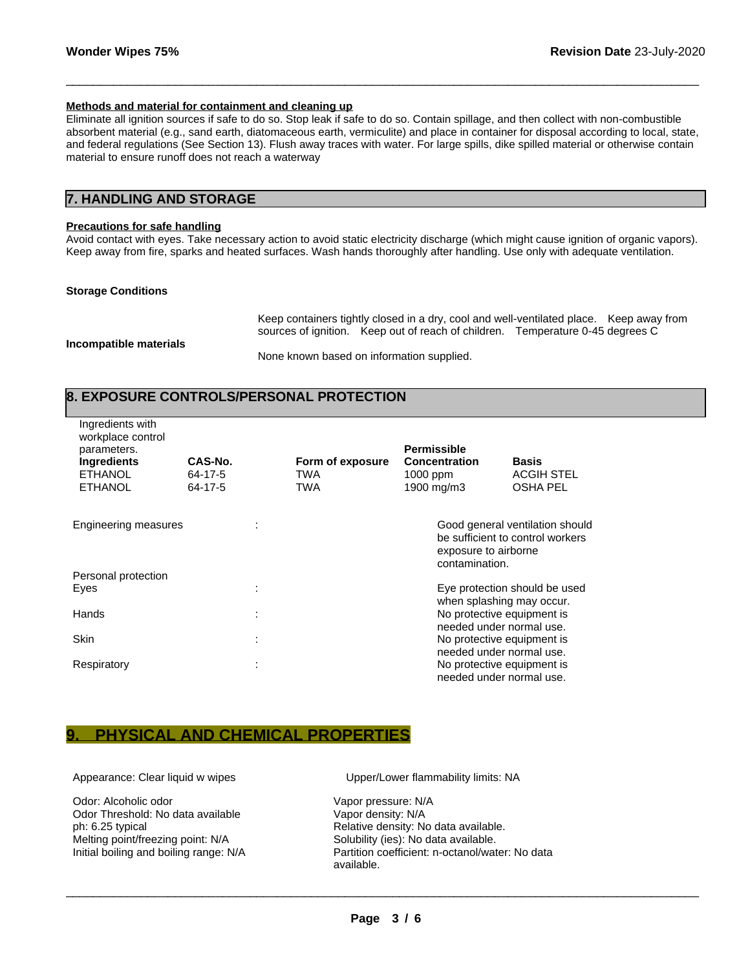#### **Methods and material for containment and cleaning up**

Eliminate all ignition sources if safe to do so. Stop leak if safe to do so. Contain spillage, and then collect with non-combustible absorbent material (e.g., sand earth, diatomaceous earth, vermiculite) and place in container for disposal according to local, state, and federal regulations (See Section 13). Flush away traces with water. For large spills, dike spilled material or otherwise contain material to ensure runoff does not reach a waterway

\_\_\_\_\_\_\_\_\_\_\_\_\_\_\_\_\_\_\_\_\_\_\_\_\_\_\_\_\_\_\_\_\_\_\_\_\_\_\_\_\_\_\_\_\_\_\_\_\_\_\_\_\_\_\_\_\_\_\_\_\_\_\_\_\_\_\_\_\_\_\_\_\_\_\_\_\_\_\_\_\_\_\_\_\_\_\_\_\_\_\_\_\_

### **7. HANDLING AND STORAGE**

#### **Precautions for safe handling**

Avoid contact with eyes. Take necessary action to avoid static electricity discharge (which might cause ignition of organic vapors). Keep away from fire, sparks and heated surfaces. Wash hands thoroughly after handling. Use only with adequate ventilation.

#### **Storage Conditions**

Keep containers tightly closed in a dry, cool and well-ventilated place. Keep away from sources of ignition. Keep out of reach of children. Temperature 0-45 degrees C

**Incompatible materials** 

None known based on information supplied.

## **8. EXPOSURE CONTROLS/PERSONAL PROTECTION**

| Ingredients with<br>workplace control<br>parameters.<br>Ingredients<br><b>ETHANOL</b><br><b>ETHANOL</b> | CAS-No.<br>64-17-5<br>64-17-5 |   | Form of exposure<br>TWA<br>TWA | <b>Permissible</b><br><b>Concentration</b><br>1000 ppm<br>1900 mg/m3 |                                                                                     | <b>Basis</b><br><b>ACGIH STEL</b><br><b>OSHA PEL</b>                |
|---------------------------------------------------------------------------------------------------------|-------------------------------|---|--------------------------------|----------------------------------------------------------------------|-------------------------------------------------------------------------------------|---------------------------------------------------------------------|
| Engineering measures                                                                                    |                               |   |                                |                                                                      | exposure to airborne<br>contamination.                                              | Good general ventilation should<br>be sufficient to control workers |
| Personal protection<br>Eyes                                                                             |                               |   |                                |                                                                      |                                                                                     | Eye protection should be used                                       |
| Hands                                                                                                   |                               |   |                                |                                                                      | when splashing may occur.<br>No protective equipment is<br>needed under normal use. |                                                                     |
| <b>Skin</b>                                                                                             |                               |   |                                |                                                                      | No protective equipment is<br>needed under normal use.                              |                                                                     |
| Respiratory                                                                                             |                               | ٠ |                                |                                                                      | No protective equipment is<br>needed under normal use.                              |                                                                     |

## **9. PHYSICAL AND CHEMICAL PROPERTIES**

Odor: Alcoholic odor Vapor pressure: N/A Odor Threshold: No data available Vapor density: N/A ph: 6.25 typical Relative density: No data available. Melting point/freezing point: N/A Solubility (ies): No data available.

Appearance: Clear liquid w wipes Upper/Lower flammability limits: NA

Initial boiling and boiling range: N/A Partition coefficient: n-octanol/water: No data available.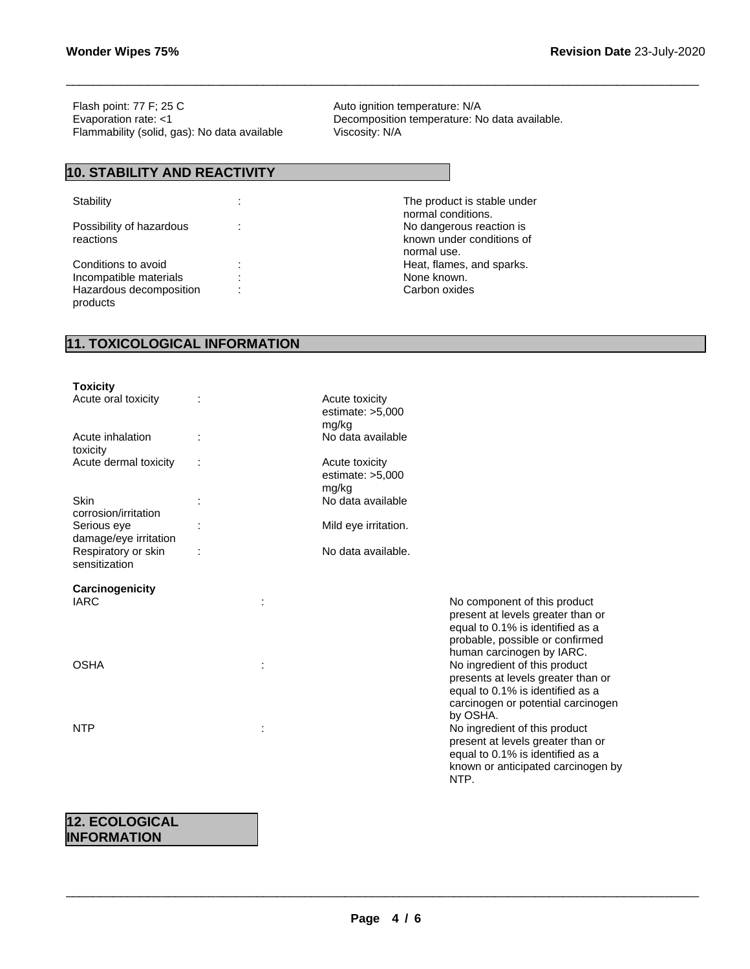Flash point: 77 F; 25 C Auto ignition temperature: N/A Evaporation rate: <1 Decomposition temperature: No data available.<br>Flammability (solid, gas): No data available Viscosity: N/A Flammability (solid, gas): No data available

### **10. STABILITY AND REACTIVITY**

Possibility of hazardous reactions

Incompatible materials : Hazardous decomposition products

Stability **Stability 1989** : The product is stable under normal conditions. : No dangerous reaction is known under conditions of normal use. Conditions to avoid in the set of the set of the Heat, flames, and sparks.<br>
Incompatible materials in the set of the set of the None known. : Carbon oxides

\_\_\_\_\_\_\_\_\_\_\_\_\_\_\_\_\_\_\_\_\_\_\_\_\_\_\_\_\_\_\_\_\_\_\_\_\_\_\_\_\_\_\_\_\_\_\_\_\_\_\_\_\_\_\_\_\_\_\_\_\_\_\_\_\_\_\_\_\_\_\_\_\_\_\_\_\_\_\_\_\_\_\_\_\_\_\_\_\_\_\_\_\_

## **11. TOXICOLOGICAL INFORMATION**

| <b>Toxicity</b>                      |                                               |                                                                                                                                                           |
|--------------------------------------|-----------------------------------------------|-----------------------------------------------------------------------------------------------------------------------------------------------------------|
| Acute oral toxicity                  | Acute toxicity<br>estimate: $>5,000$<br>mg/kg |                                                                                                                                                           |
| Acute inhalation<br>toxicity         | No data available                             |                                                                                                                                                           |
| Acute dermal toxicity                | Acute toxicity<br>estimate: $>5,000$<br>mg/kg |                                                                                                                                                           |
| Skin<br>corrosion/irritation         | No data available                             |                                                                                                                                                           |
| Serious eye<br>damage/eye irritation | Mild eye irritation.                          |                                                                                                                                                           |
| Respiratory or skin<br>sensitization | No data available.                            |                                                                                                                                                           |
| Carcinogenicity<br><b>IARC</b>       |                                               | No component of this product                                                                                                                              |
|                                      |                                               | present at levels greater than or<br>equal to 0.1% is identified as a<br>probable, possible or confirmed<br>human carcinogen by IARC.                     |
| <b>OSHA</b>                          |                                               | No ingredient of this product<br>presents at levels greater than or<br>equal to 0.1% is identified as a<br>carcinogen or potential carcinogen<br>by OSHA. |
| <b>NTP</b>                           |                                               | No ingredient of this product<br>present at levels greater than or<br>equal to 0.1% is identified as a<br>known or anticipated carcinogen by<br>NTP.      |
|                                      |                                               |                                                                                                                                                           |

## **12. ECOLOGICAL INFORMATION**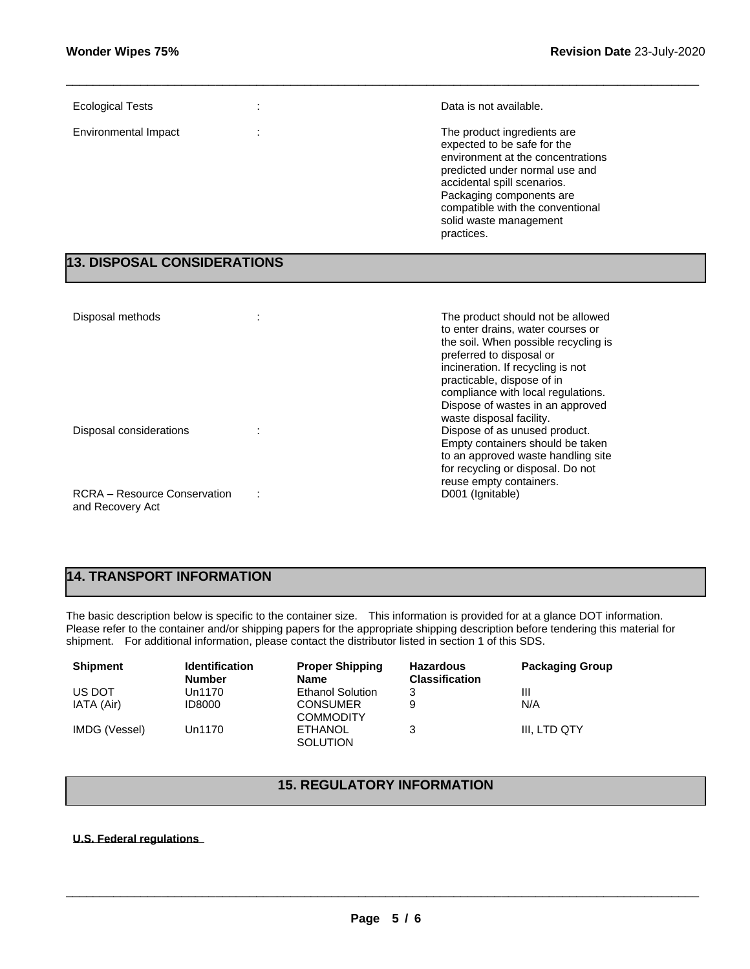| <b>Ecological Tests</b> | Data is not available.                                                                                                                                                                                                                                                   |
|-------------------------|--------------------------------------------------------------------------------------------------------------------------------------------------------------------------------------------------------------------------------------------------------------------------|
| Environmental Impact    | The product ingredients are<br>expected to be safe for the<br>environment at the concentrations<br>predicted under normal use and<br>accidental spill scenarios.<br>Packaging components are<br>compatible with the conventional<br>solid waste management<br>practices. |

\_\_\_\_\_\_\_\_\_\_\_\_\_\_\_\_\_\_\_\_\_\_\_\_\_\_\_\_\_\_\_\_\_\_\_\_\_\_\_\_\_\_\_\_\_\_\_\_\_\_\_\_\_\_\_\_\_\_\_\_\_\_\_\_\_\_\_\_\_\_\_\_\_\_\_\_\_\_\_\_\_\_\_\_\_\_\_\_\_\_\_\_\_

## **13. DISPOSAL CONSIDERATIONS**

| Disposal methods                                        | The product should not be allowed<br>to enter drains, water courses or<br>the soil. When possible recycling is<br>preferred to disposal or<br>incineration. If recycling is not<br>practicable, dispose of in<br>compliance with local regulations.<br>Dispose of wastes in an approved |
|---------------------------------------------------------|-----------------------------------------------------------------------------------------------------------------------------------------------------------------------------------------------------------------------------------------------------------------------------------------|
| Disposal considerations                                 | waste disposal facility.<br>Dispose of as unused product.<br>Empty containers should be taken<br>to an approved waste handling site<br>for recycling or disposal. Do not<br>reuse empty containers.                                                                                     |
| <b>RCRA</b> – Resource Conservation<br>and Recovery Act | D001 (Ignitable)                                                                                                                                                                                                                                                                        |

# **14. TRANSPORT INFORMATION**

The basic description below is specific to the container size. This information is provided for at a glance DOT information. Please refer to the container and/or shipping papers for the appropriate shipping description before tendering this material for shipment. For additional information, please contact the distributor listed in section 1 of this SDS.

| <b>Shipment</b> | <b>Identification</b><br><b>Number</b> | <b>Proper Shipping</b><br><b>Name</b> | <b>Hazardous</b><br><b>Classification</b> | <b>Packaging Group</b> |
|-----------------|----------------------------------------|---------------------------------------|-------------------------------------------|------------------------|
| US DOT          | Un1170                                 | <b>Ethanol Solution</b>               | 3                                         | Ш                      |
| IATA (Air)      | <b>ID8000</b>                          | <b>CONSUMER</b><br><b>COMMODITY</b>   | 9                                         | N/A                    |
| IMDG (Vessel)   | Un1170                                 | <b>ETHANOL</b><br><b>SOLUTION</b>     | 3                                         | III. LTD QTY           |

## **15. REGULATORY INFORMATION**

### **U.S. Federal regulations**